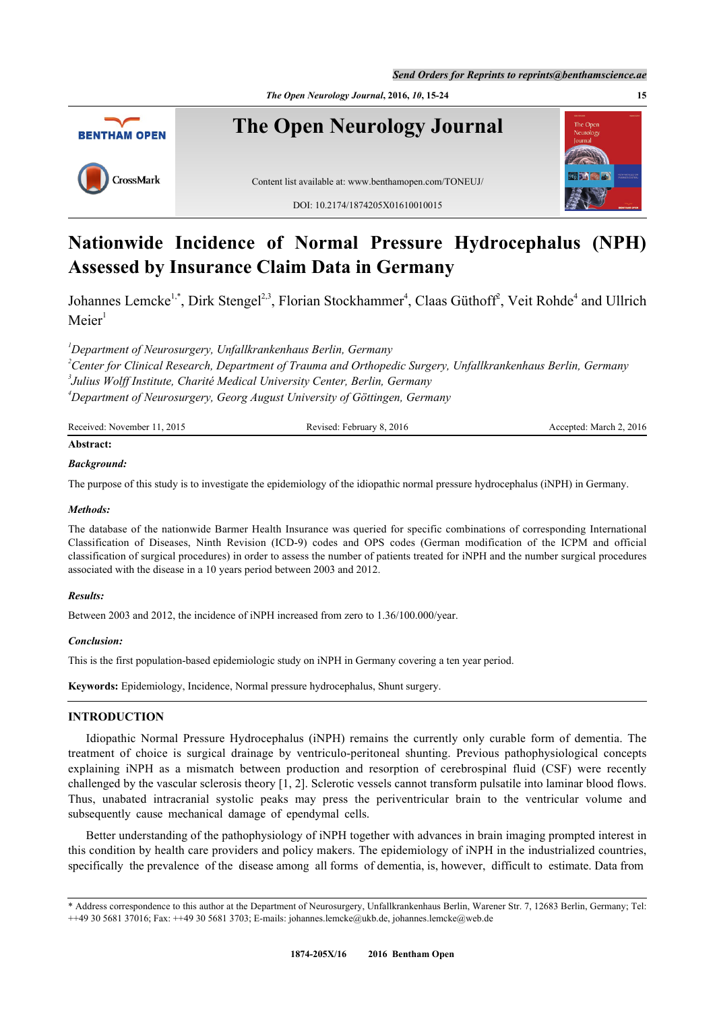*Send Orders for Reprints to reprints@benthamscience.ae*

*The Open Neurology Journal***, 2016,** *10***, 15-24 15**



# **Nationwide Incidence of Normal Pressure Hydrocephalus (NPH) Assessed by Insurance Claim Data in Germany**

Johannes Lemcke<sup>[1](#page-0-0)[,\\*](#page-0-1)</sup>, Dirk Stengel<sup>[2](#page-0-2),[3](#page-0-3)</sup>, Florian Stockhammer<sup>[4](#page-0-4)</sup>, Claas Güthoff<sup>2</sup>, Veit Rohde<sup>4</sup> and Ullrich  $Meier<sup>1</sup>$  $Meier<sup>1</sup>$  $Meier<sup>1</sup>$ 

<span id="page-0-3"></span><span id="page-0-2"></span><span id="page-0-0"></span>*Department of Neurosurgery, Unfallkrankenhaus Berlin, Germany Center for Clinical Research, Department of Trauma and Orthopedic Surgery, Unfallkrankenhaus Berlin, Germany Julius Wolff Institute, Charité Medical University Center, Berlin, Germany Department of Neurosurgery, Georg August University of Göttingen, Germany*

<span id="page-0-4"></span>

| Received: November 11, 2015 | Revised: February 8, 2016 | Accepted: March 2, 2016 |
|-----------------------------|---------------------------|-------------------------|
| Abstract:                   |                           |                         |

## *Background:*

The purpose of this study is to investigate the epidemiology of the idiopathic normal pressure hydrocephalus (iNPH) in Germany.

## *Methods:*

The database of the nationwide Barmer Health Insurance was queried for specific combinations of corresponding International Classification of Diseases, Ninth Revision (ICD-9) codes and OPS codes (German modification of the ICPM and official classification of surgical procedures) in order to assess the number of patients treated for iNPH and the number surgical procedures associated with the disease in a 10 years period between 2003 and 2012.

## *Results:*

Between 2003 and 2012, the incidence of iNPH increased from zero to 1.36/100.000/year.

## *Conclusion:*

This is the first population-based epidemiologic study on iNPH in Germany covering a ten year period.

**Keywords:** Epidemiology, Incidence, Normal pressure hydrocephalus, Shunt surgery.

# **INTRODUCTION**

Idiopathic Normal Pressure Hydrocephalus (iNPH) remains the currently only curable form of dementia. The treatment of choice is surgical drainage by ventriculo-peritoneal shunting. Previous pathophysiological concepts explaining iNPH as a mismatch between production and resorption of cerebrospinal fluid (CSF) were recently challenged by the vascular sclerosis theory [[1,](#page-8-0) [2\]](#page-8-1). Sclerotic vessels cannot transform pulsatile into laminar blood flows. Thus, unabated intracranial systolic peaks may press the periventricular brain to the ventricular volume and subsequently cause mechanical damage of ependymal cells.

Better understanding of the pathophysiology of iNPH together with advances in brain imaging prompted interest in this condition by health care providers and policy makers. The epidemiology of iNPH in the industrialized countries, specifically the prevalence of the disease among all forms of dementia, is, however, difficult to estimate. Data from

<span id="page-0-1"></span><sup>\*</sup> Address correspondence to this author at the Department of Neurosurgery, Unfallkrankenhaus Berlin, Warener Str. 7, 12683 Berlin, Germany; Tel: ++49 30 5681 37016; Fax: ++49 30 5681 3703; E-mails: [johannes.lemcke@ukb.de,](mailto:johannes.lemcke@ukb.de) [johannes.lemcke@web.de](mailto:johannes.lemcke@web.de)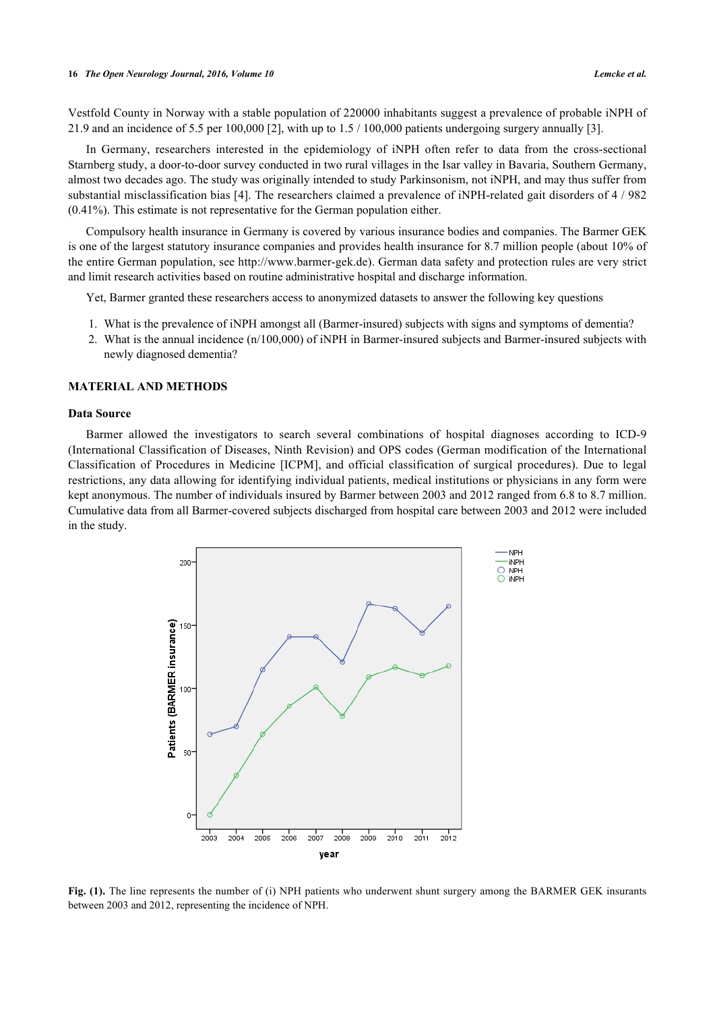#### **16** *The Open Neurology Journal, 2016, Volume 10 Lemcke et al.*

Vestfold County in Norway with a stable population of 220000 inhabitants suggest a prevalence of probable iNPH of 21.9 and an incidence of 5.5 per 100,000 [[2\]](#page-8-1), with up to 1.5 / 100,000 patients undergoing surgery annually [[3\]](#page-8-2).

In Germany, researchers interested in the epidemiology of iNPH often refer to data from the cross-sectional Starnberg study, a door-to-door survey conducted in two rural villages in the Isar valley in Bavaria, Southern Germany, almost two decades ago. The study was originally intended to study Parkinsonism, not iNPH, and may thus suffer from substantial misclassification bias [\[4](#page-9-0)]. The researchers claimed a prevalence of iNPH-related gait disorders of 4 / 982 (0.41%). This estimate is not representative for the German population either.

Compulsory health insurance in Germany is covered by various insurance bodies and companies. The Barmer GEK is one of the largest statutory insurance companies and provides health insurance for 8.7 million people (about 10% of the entire German population, see<http://www.barmer-gek.de>). German data safety and protection rules are very strict and limit research activities based on routine administrative hospital and discharge information.

Yet, Barmer granted these researchers access to anonymized datasets to answer the following key questions

- 1. What is the prevalence of iNPH amongst all (Barmer-insured) subjects with signs and symptoms of dementia?
- 2. What is the annual incidence (n/100,000) of iNPH in Barmer-insured subjects and Barmer-insured subjects with newly diagnosed dementia?

#### **MATERIAL AND METHODS**

#### **Data Source**

<span id="page-1-0"></span>Barmer allowed the investigators to search several combinations of hospital diagnoses according to ICD-9 (International Classification of Diseases, Ninth Revision) and OPS codes (German modification of the International Classification of Procedures in Medicine [ICPM], and official classification of surgical procedures). Due to legal restrictions, any data allowing for identifying individual patients, medical institutions or physicians in any form were kept anonymous. The number of individuals insured by Barmer between 2003 and 2012 ranged from 6.8 to 8.7 million. Cumulative data from all Barmer-covered subjects discharged from hospital care between 2003 and 2012 were included in the study.



<span id="page-1-1"></span>**Fig. (1).** The line represents the number of (i) NPH patients who underwent shunt surgery among the BARMER GEK insurants between 2003 and 2012, representing the incidence of NPH.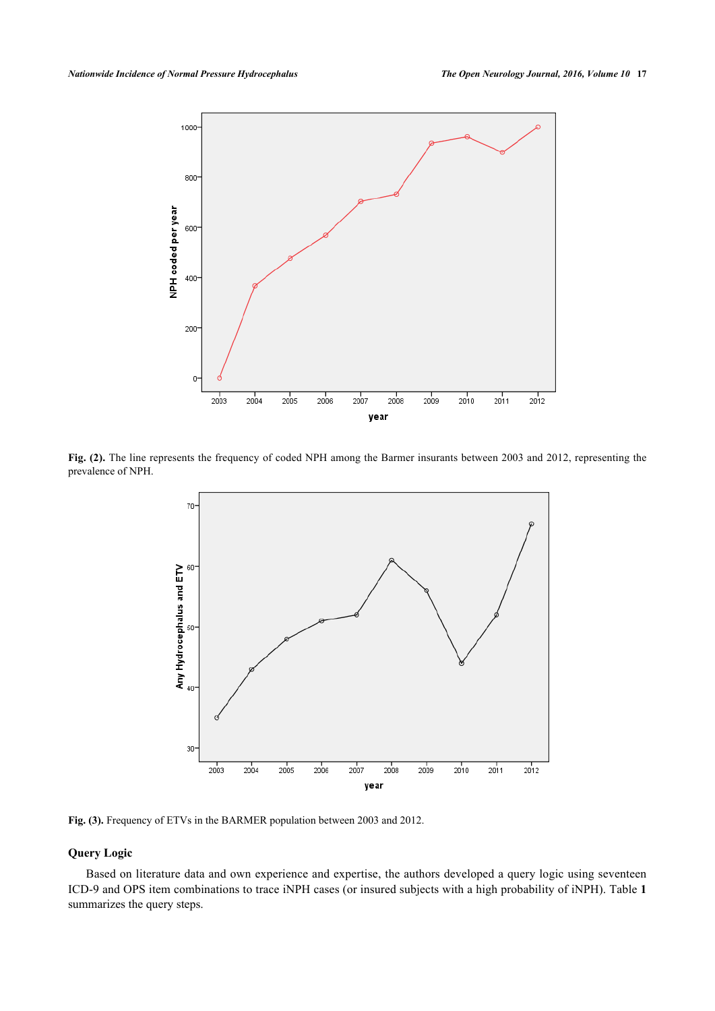

<span id="page-2-1"></span>**Fig. (2).** The line represents the frequency of coded NPH among the Barmer insurants between 2003 and 2012, representing the prevalence of NPH.



Fig. (3). Frequency of ETVs in the BARMER population between 2003 and 2012.

## **Query Logic**

<span id="page-2-0"></span>Based on literature data and own experience and expertise, the authors developed a query logic using seventeen ICD-9 and OPS item combinations to trace iNPH cases (or insured subjects with a high probability of iNPH). Table **[1](#page-2-0)** summarizes the query steps.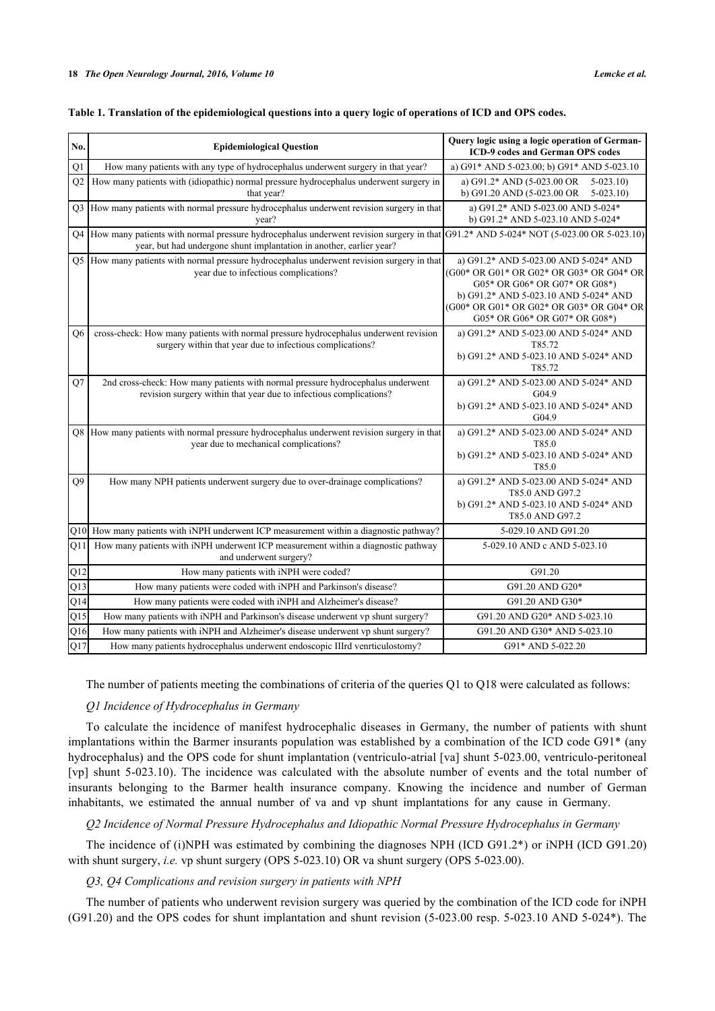| No.            | <b>Epidemiological Question</b>                                                                                                                                 | Query logic using a logic operation of German-<br>ICD-9 codes and German OPS codes                                                                                                                                                       |
|----------------|-----------------------------------------------------------------------------------------------------------------------------------------------------------------|------------------------------------------------------------------------------------------------------------------------------------------------------------------------------------------------------------------------------------------|
| Q1             | How many patients with any type of hydrocephalus underwent surgery in that year?                                                                                | a) G91* AND 5-023.00; b) G91* AND 5-023.10                                                                                                                                                                                               |
| Q <sub>2</sub> | How many patients with (idiopathic) normal pressure hydrocephalus underwent surgery in<br>that year?                                                            | a) $G91.2*$ AND $(5-023.00)$ OR<br>$5-023.10$<br>b) G91.20 AND (5-023.00 OR<br>$5-023.10$                                                                                                                                                |
| Q <sub>3</sub> | How many patients with normal pressure hydrocephalus underwent revision surgery in that<br>year?                                                                | a) G91.2* AND 5-023.00 AND 5-024*<br>b) G91.2* AND 5-023.10 AND 5-024*                                                                                                                                                                   |
| O4             | How many patients with normal pressure hydrocephalus underwent revision surgery in that<br>year, but had undergone shunt implantation in another, earlier year? | G91.2* AND 5-024* NOT (5-023.00 OR 5-023.10)                                                                                                                                                                                             |
| Q <sub>5</sub> | How many patients with normal pressure hydrocephalus underwent revision surgery in that<br>year due to infectious complications?                                | a) G91.2* AND 5-023.00 AND 5-024* AND<br>(G00* OR G01* OR G02* OR G03* OR G04* OR<br>G05* OR G06* OR G07* OR G08*)<br>b) G91.2* AND 5-023.10 AND 5-024* AND<br>(G00* OR G01* OR G02* OR G03* OR G04* OR<br>G05* OR G06* OR G07* OR G08*) |
| O <sub>6</sub> | cross-check: How many patients with normal pressure hydrocephalus underwent revision<br>surgery within that year due to infectious complications?               | a) G91.2* AND 5-023.00 AND 5-024* AND<br>T85.72<br>b) G91.2* AND 5-023.10 AND 5-024* AND<br>T <sub>85.72</sub>                                                                                                                           |
| Q7             | 2nd cross-check: How many patients with normal pressure hydrocephalus underwent<br>revision surgery within that year due to infectious complications?           | a) G91.2* AND 5-023.00 AND 5-024* AND<br>G04.9<br>b) G91.2* AND 5-023.10 AND 5-024* AND<br>G(04.9)                                                                                                                                       |
| Q8             | How many patients with normal pressure hydrocephalus underwent revision surgery in that<br>year due to mechanical complications?                                | a) G91.2* AND 5-023.00 AND 5-024* AND<br>T85.0<br>b) G91.2* AND 5-023.10 AND 5-024* AND<br>T <sub>85.0</sub>                                                                                                                             |
| Q <sub>9</sub> | How many NPH patients underwent surgery due to over-drainage complications?                                                                                     | a) G91.2* AND 5-023.00 AND 5-024* AND<br>T85.0 AND G97.2<br>b) G91.2* AND 5-023.10 AND 5-024* AND<br>T85.0 AND G97.2                                                                                                                     |
|                | Q10 How many patients with iNPH underwent ICP measurement within a diagnostic pathway?                                                                          | 5-029.10 AND G91.20                                                                                                                                                                                                                      |
| Q11            | How many patients with iNPH underwent ICP measurement within a diagnostic pathway<br>and underwent surgery?                                                     | 5-029.10 AND c AND 5-023.10                                                                                                                                                                                                              |
| Q12            | How many patients with iNPH were coded?                                                                                                                         | G91.20                                                                                                                                                                                                                                   |
| Q13            | How many patients were coded with iNPH and Parkinson's disease?                                                                                                 | G91.20 AND G20*                                                                                                                                                                                                                          |
| Q14            | How many patients were coded with iNPH and Alzheimer's disease?                                                                                                 | G91.20 AND G30*                                                                                                                                                                                                                          |
| Q15            | How many patients with iNPH and Parkinson's disease underwent vp shunt surgery?                                                                                 | G91.20 AND G20* AND 5-023.10                                                                                                                                                                                                             |
| Q16            | How many patients with iNPH and Alzheimer's disease underwent vp shunt surgery?                                                                                 | G91.20 AND G30* AND 5-023.10                                                                                                                                                                                                             |
| Q17            | How many patients hydrocephalus underwent endoscopic IIIrd venrticulostomy?                                                                                     | G91* AND 5-022.20                                                                                                                                                                                                                        |

#### **Table 1. Translation of the epidemiological questions into a query logic of operations of ICD and OPS codes.**

The number of patients meeting the combinations of criteria of the queries Q1 to Q18 were calculated as follows:

## *Q1 Incidence of Hydrocephalus in Germany*

To calculate the incidence of manifest hydrocephalic diseases in Germany, the number of patients with shunt implantations within the Barmer insurants population was established by a combination of the ICD code G91\* (any hydrocephalus) and the OPS code for shunt implantation (ventriculo-atrial [va] shunt 5-023.00, ventriculo-peritoneal [vp] shunt 5-023.10). The incidence was calculated with the absolute number of events and the total number of insurants belonging to the Barmer health insurance company. Knowing the incidence and number of German inhabitants, we estimated the annual number of va and vp shunt implantations for any cause in Germany.

*Q2 Incidence of Normal Pressure Hydrocephalus and Idiopathic Normal Pressure Hydrocephalus in Germany*

The incidence of (i)NPH was estimated by combining the diagnoses NPH (ICD G91.2\*) or iNPH (ICD G91.20) with shunt surgery, *i.e.* vp shunt surgery (OPS 5-023.10) OR va shunt surgery (OPS 5-023.00).

#### *Q3, Q4 Complications and revision surgery in patients with NPH*

The number of patients who underwent revision surgery was queried by the combination of the ICD code for iNPH (G91.20) and the OPS codes for shunt implantation and shunt revision (5-023.00 resp. 5-023.10 AND 5-024\*). The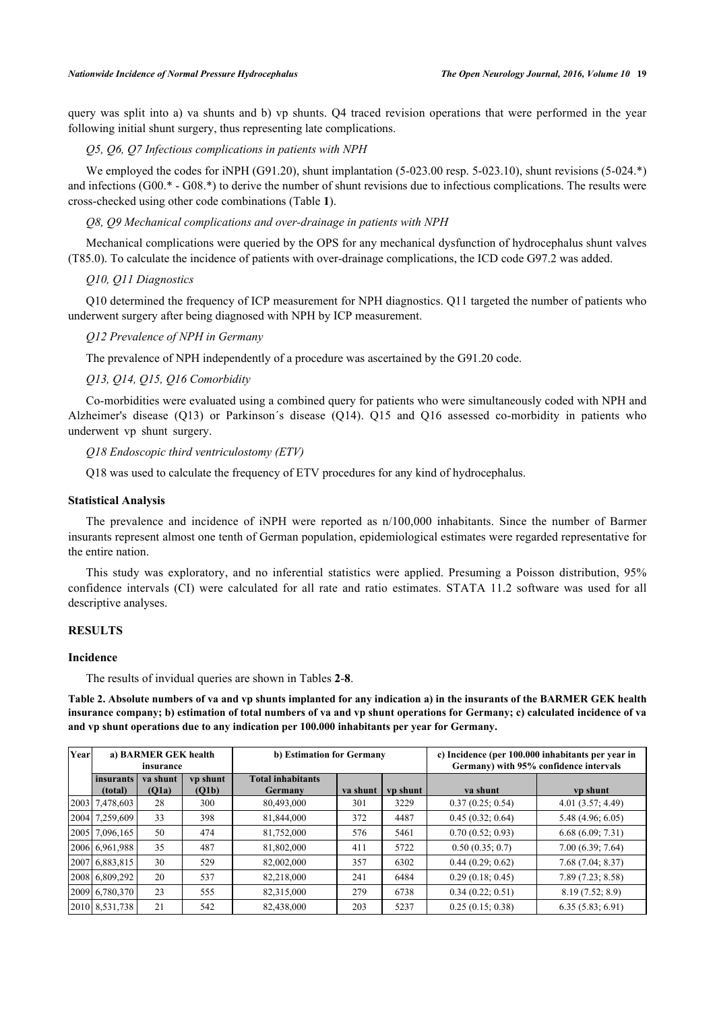query was split into a) va shunts and b) vp shunts. Q4 traced revision operations that were performed in the year following initial shunt surgery, thus representing late complications.

*Q5, Q6, Q7 Infectious complications in patients with NPH*

We employed the codes for iNPH (G91.20), shunt implantation (5-023.00 resp. 5-023.10), shunt revisions (5-024.\*) and infections (G00.\* - G08.\*) to derive the number of shunt revisions due to infectious complications. The results were cross-checked using other code combinations (Table **[1](#page-2-0)**).

*Q8, Q9 Mechanical complications and over-drainage in patients with NPH*

Mechanical complications were queried by the OPS for any mechanical dysfunction of hydrocephalus shunt valves (T85.0). To calculate the incidence of patients with over-drainage complications, the ICD code G97.2 was added.

#### *Q10, Q11 Diagnostics*

Q10 determined the frequency of ICP measurement for NPH diagnostics. Q11 targeted the number of patients who underwent surgery after being diagnosed with NPH by ICP measurement.

*Q12 Prevalence of NPH in Germany*

The prevalence of NPH independently of a procedure was ascertained by the G91.20 code.

*Q13, Q14, Q15, Q16 Comorbidity*

Co-morbidities were evaluated using a combined query for patients who were simultaneously coded with NPH and Alzheimer's disease (Q13) or Parkinson´s disease (Q14). Q15 and Q16 assessed co-morbidity in patients who underwent vp shunt surgery.

*Q18 Endoscopic third ventriculostomy (ETV)*

Q18 was used to calculate the frequency of ETV procedures for any kind of hydrocephalus.

#### **Statistical Analysis**

The prevalence and incidence of iNPH were reported as n/100,000 inhabitants. Since the number of Barmer insurants represent almost one tenth of German population, epidemiological estimates were regarded representative for the entire nation.

This study was exploratory, and no inferential statistics were applied. Presuming a Poisson distribution, 95% confidence intervals (CI) were calculated for all rate and ratio estimates. STATA 11.2 software was used for all descriptive analyses.

## **RESULTS**

#### **Incidence**

The results of invidual queries are shown in Tables **[2](#page-4-0)**-**[8](#page-7-0)**.

<span id="page-4-0"></span>**Table 2. Absolute numbers of va and vp shunts implanted for any indication a) in the insurants of the BARMER GEK health insurance company; b) estimation of total numbers of va and vp shunt operations for Germany; c) calculated incidence of va and vp shunt operations due to any indication per 100.000 inhabitants per year for Germany.**

| Yearl |                             | a) BARMER GEK health<br>insurance |                   | b) Estimation for Germany           |          |          |                  | c) Incidence (per 100.000 inhabitants per year in<br>Germany) with 95% confidence intervals |
|-------|-----------------------------|-----------------------------------|-------------------|-------------------------------------|----------|----------|------------------|---------------------------------------------------------------------------------------------|
|       | <i>insurants</i><br>(total) | va shunt<br>(Q1a)                 | vp shunt<br>(Q1b) | <b>Total inhabitants</b><br>Germany | va shunt | vp shunt | va shunt         | vp shunt                                                                                    |
|       | 2003 7,478,603              | 28                                | 300               | 80,493,000                          | 301      | 3229     | 0.37(0.25; 0.54) | 4.01(3.57; 4.49)                                                                            |
|       | 2004 7.259,609              | 33                                | 398               | 81,844,000                          | 372      | 4487     | 0.45(0.32; 0.64) | 5.48 (4.96; 6.05)                                                                           |
|       | 2005 7.096,165              | 50                                | 474               | 81,752,000                          | 576      | 5461     | 0.70(0.52; 0.93) | 6.68(6.09; 7.31)                                                                            |
|       | 2006 6.961,988              | 35                                | 487               | 81,802,000                          | 411      | 5722     | 0.50(0.35; 0.7)  | 7.00(6.39; 7.64)                                                                            |
|       | 2007 6.883,815              | 30                                | 529               | 82,002,000                          | 357      | 6302     | 0.44(0.29; 0.62) | 7.68(7.04; 8.37)                                                                            |
|       | 2008 6,809,292              | 20                                | 537               | 82,218,000                          | 241      | 6484     | 0.29(0.18; 0.45) | 7.89(7.23; 8.58)                                                                            |
|       | 2009 6,780,370              | 23                                | 555               | 82,315,000                          | 279      | 6738     | 0.34(0.22; 0.51) | 8.19(7.52; 8.9)                                                                             |
|       | 2010 8,531,738              | 21                                | 542               | 82,438,000                          | 203      | 5237     | 0.25(0.15; 0.38) | 6.35(5.83; 6.91)                                                                            |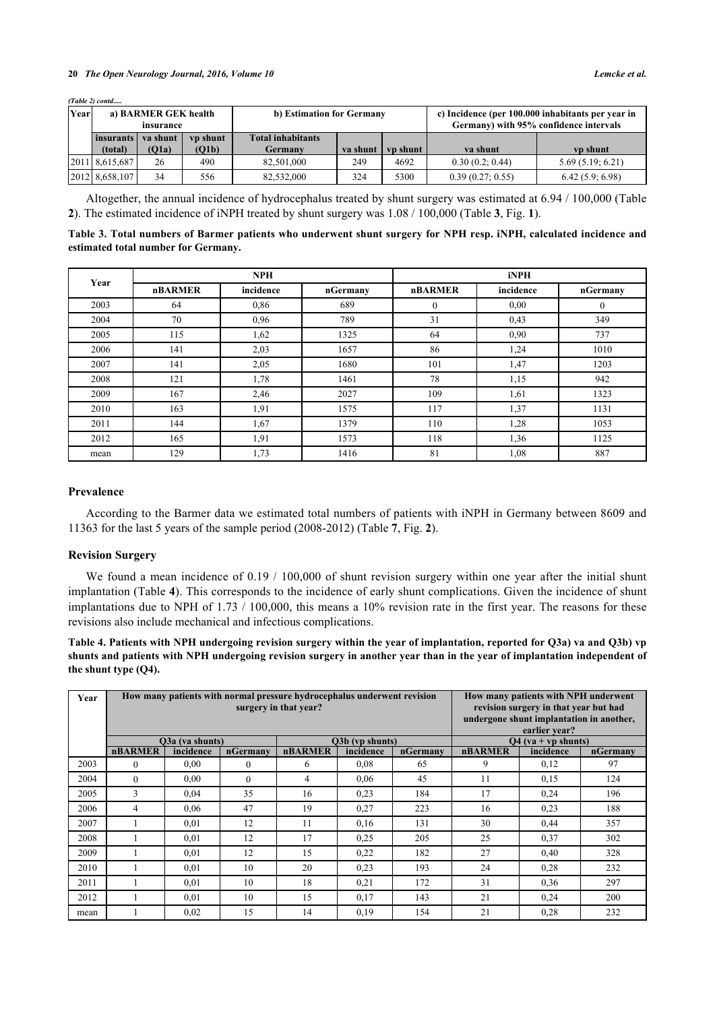#### **20** *The Open Neurology Journal, 2016, Volume 10 Lemcke et al.*

| Yearl |                        | a) BARMER GEK health<br>insurance |                   | b) Estimation for Germany           |          |                 | c) Incidence (per 100.000 inhabitants per year in<br>Germany) with 95% confidence intervals | <b>vp</b> shunt<br>5.69(5.19; 6.21) |  |
|-------|------------------------|-----------------------------------|-------------------|-------------------------------------|----------|-----------------|---------------------------------------------------------------------------------------------|-------------------------------------|--|
|       | l insurants<br>(total) | va shunt<br>(O1a)                 | vp shunt<br>(O1b) | <b>Total inhabitants</b><br>Germany | va shunt | <b>vp</b> shunt | va shunt                                                                                    |                                     |  |
|       | $2011$ 8.615,687       | 26                                | 490               | 82.501.000                          | 249      | 4692            | 0.30(0.2; 0.44)                                                                             |                                     |  |
|       | 2012 8,658,107         | 34                                | 556               | 82,532,000                          | 324      | 5300            | 0.39(0.27; 0.55)                                                                            | 6.42(5.9; 6.98)                     |  |

Altogether, the annual incidence of hydrocephalus treated by shunt surgery was estimated at 6.94 / 100,000 (Table **[2](#page-4-0)**). The estimated incidence of iNPH treated by shunt surgery was 1.08 / 100,000 (Table **[3](#page-5-0)**, Fig. **[1](#page-1-0)**).

<span id="page-5-0"></span>

| Table 3. Total numbers of Barmer patients who underwent shunt surgery for NPH resp. iNPH, calculated incidence and |  |  |  |
|--------------------------------------------------------------------------------------------------------------------|--|--|--|
| estimated total number for Germany.                                                                                |  |  |  |

| Year |                | <b>NPH</b> |          |                | <b>iNPH</b> |              |
|------|----------------|------------|----------|----------------|-------------|--------------|
|      | <b>nBARMER</b> | incidence  | nGermany | <b>nBARMER</b> | incidence   | nGermany     |
| 2003 | 64             | 0,86       | 689      | $\mathbf{0}$   | 0.00        | $\mathbf{0}$ |
| 2004 | 70             | 0,96       | 789      | 31             | 0.43        | 349          |
| 2005 | 115            | 1,62       | 1325     | 64             | 0,90        | 737          |
| 2006 | 141            | 2,03       | 1657     | 86             | 1,24        | 1010         |
| 2007 | 141            | 2,05       | 1680     | 101            | 1,47        | 1203         |
| 2008 | 121            | 1,78       | 1461     | 78             | 1,15        | 942          |
| 2009 | 167            | 2,46       | 2027     | 109            | 1,61        | 1323         |
| 2010 | 163            | 1,91       | 1575     | 117            | 1,37        | 1131         |
| 2011 | 144            | 1,67       | 1379     | 110            | 1,28        | 1053         |
| 2012 | 165            | 1,91       | 1573     | 118            | 1,36        | 1125         |
| mean | 129            | 1,73       | 1416     | 81             | 1,08        | 887          |

## **Prevalence**

*(Table 2) contd.....*

According to the Barmer data we estimated total numbers of patients with iNPH in Germany between 8609 and 11363 for the last 5 years of the sample period (2008-2012) (Table **[7](#page-7-1)**, Fig. **[2](#page-1-1)**).

#### **Revision Surgery**

We found a mean incidence of 0.19 / 100,000 of shunt revision surgery within one year after the initial shunt implantation (Table **[4](#page-5-1)**). This corresponds to the incidence of early shunt complications. Given the incidence of shunt implantations due to NPH of 1.73 / 100,000, this means a 10% revision rate in the first year. The reasons for these revisions also include mechanical and infectious complications.

<span id="page-5-1"></span>**Table 4. Patients with NPH undergoing revision surgery within the year of implantation, reported for Q3a) va and Q3b) vp shunts and patients with NPH undergoing revision surgery in another year than in the year of implantation independent of the shunt type (Q4).**

| Year |                |                 | How many patients with normal pressure hydrocephalus underwent revision<br>surgery in that year? |                | How many patients with NPH underwent<br>revision surgery in that year but had<br>undergone shunt implantation in another,<br>earlier vear? |          |                       |           |          |  |
|------|----------------|-----------------|--------------------------------------------------------------------------------------------------|----------------|--------------------------------------------------------------------------------------------------------------------------------------------|----------|-----------------------|-----------|----------|--|
|      |                | O3a (va shunts) |                                                                                                  |                | O3b (vp shunts)                                                                                                                            |          | $Q4$ (va + vp shunts) |           |          |  |
|      | <b>nBARMER</b> | incidence       | nGermany                                                                                         | <b>nBARMER</b> | incidence                                                                                                                                  | nGermany | <b>nBARMER</b>        | incidence | nGermany |  |
| 2003 | $\Omega$       | 0.00            | 0                                                                                                | 6              | 0.08                                                                                                                                       | 65       | 9                     | 0,12      | 97       |  |
| 2004 | $\Omega$       | 0,00            | $\theta$                                                                                         | 4              | 0,06                                                                                                                                       | 45       | 11                    | 0.15      | 124      |  |
| 2005 | $\mathcal{F}$  | 0,04            | 35                                                                                               | 16             | 0.23                                                                                                                                       | 184      | 17                    | 0,24      | 196      |  |
| 2006 | 4              | 0,06            | 47                                                                                               | 19             | 0,27                                                                                                                                       | 223      | 16                    | 0.23      | 188      |  |
| 2007 |                | 0.01            | 12                                                                                               | 11             | 0,16                                                                                                                                       | 131      | 30                    | 0,44      | 357      |  |
| 2008 |                | 0.01            | 12                                                                                               | 17             | 0.25                                                                                                                                       | 205      | 25                    | 0.37      | 302      |  |
| 2009 |                | 0,01            | 12                                                                                               | 15             | 0,22                                                                                                                                       | 182      | 27                    | 0,40      | 328      |  |
| 2010 |                | 0,01            | 10                                                                                               | 20             | 0.23                                                                                                                                       | 193      | 24                    | 0.28      | 232      |  |
| 2011 |                | 0.01            | 10                                                                                               | 18             | 0,21                                                                                                                                       | 172      | 31                    | 0.36      | 297      |  |
| 2012 |                | 0,01            | 10                                                                                               | 15             | 0.17                                                                                                                                       | 143      | 21                    | 0,24      | 200      |  |
| mean |                | 0.02            | 15                                                                                               | 14             | 0,19                                                                                                                                       | 154      | 21                    | 0,28      | 232      |  |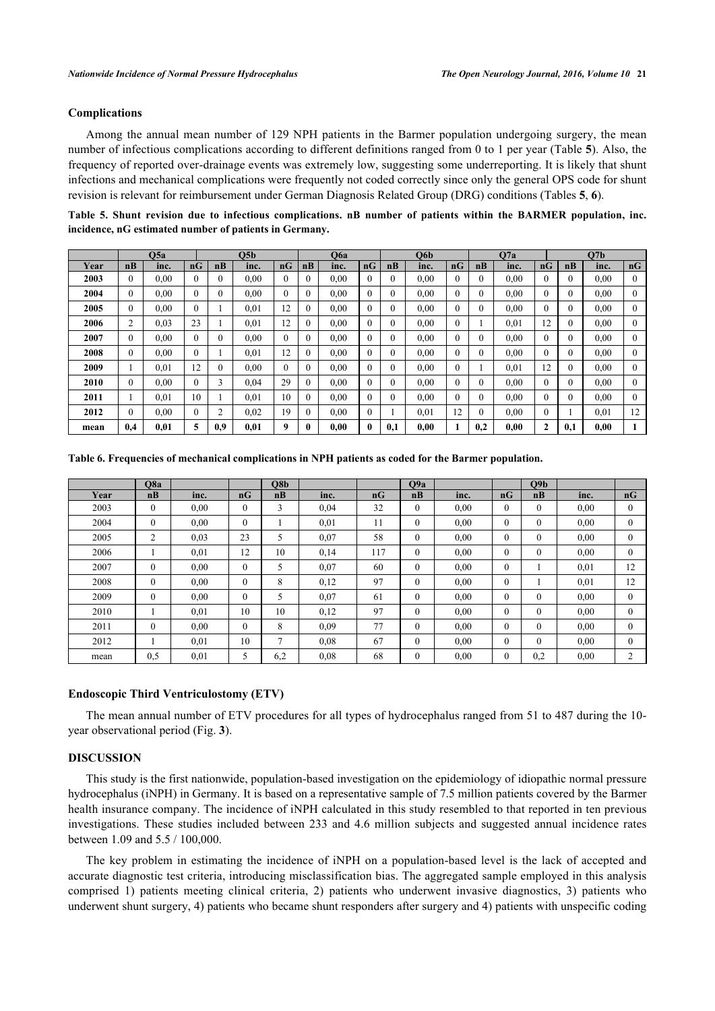## **Complications**

Among the annual mean number of 129 NPH patients in the Barmer population undergoing surgery, the mean number of infectious complications according to different definitions ranged from 0 to 1 per year (Table **[5](#page-6-0)**). Also, the frequency of reported over-drainage events was extremely low, suggesting some underreporting. It is likely that shunt infections and mechanical complications were frequently not coded correctly since only the general OPS code for shunt revision is relevant for reimbursement under German Diagnosis Related Group (DRG) conditions (Tables **[5](#page-6-0)**, **[6](#page-6-1)**).

<span id="page-6-0"></span>**Table 5. Shunt revision due to infectious complications. nB number of patients within the BARMER population, inc. incidence, nG estimated number of patients in Germany.**

|      | 05a<br>O5b     |      |          |     | O6a  |              |          | O <sub>6</sub> b |    |     | O7a  |          |     | O7b  |    |     |      |          |
|------|----------------|------|----------|-----|------|--------------|----------|------------------|----|-----|------|----------|-----|------|----|-----|------|----------|
| Year | n <sub>B</sub> | inc. | nG       | nB  | inc. | nG           | nB       | inc.             | nG | nB  | inc. | nG       | nB  | inc. | nG | nB  | inc. | nG       |
| 2003 | $\theta$       | 0.00 | $\theta$ |     | 0,00 | $\mathbf{0}$ |          | 0.00             | 0  | 0   | 0,00 |          | 0   | 0,00 |    |     | 0,00 | $\theta$ |
| 2004 | $\theta$       | 0.00 | $\theta$ |     | 0.00 | $\Omega$     |          | 0.00             | 0  | 0   | 0,00 | 0        |     | 0.00 |    |     | 0,00 | $\theta$ |
| 2005 | $\theta$       | 0,00 | $\theta$ |     | 0,01 | 12           | 0        | 0.00             | 0  | 0   | 0,00 | $\theta$ | 0   | 0,00 |    |     | 0.00 | $\theta$ |
| 2006 | 2              | 0.03 | 23       |     | 0.01 | 12           | 0        | 0.00             | 0  | 0   | 0,00 | $\theta$ |     | 0.01 | 12 | 0   | 0.00 | $\theta$ |
| 2007 | $\theta$       | 0,00 | $\theta$ |     | 0,00 | $\theta$     | $\Omega$ | 0.00             | 0  | 0   | 0,00 | $\theta$ | 0   | 0,00 |    |     | 0.00 | $\theta$ |
| 2008 | $\theta$       | 0,00 | $\theta$ |     | 0.01 | 12           |          | 0.00             | 0  | 0   | 0,00 | $\theta$ | 0   | 0,00 |    | 0   | 0,00 | $\theta$ |
| 2009 |                | 0,01 | 12       |     | 0.00 | $\mathbf{0}$ |          | 0.00             | 0  | 0   | 0,00 | 0        |     | 0.01 | 12 |     | 0,00 | $\theta$ |
| 2010 | $\theta$       | 0,00 | 0        | ⌒   | 0,04 | 29           |          | 0.00             | 0  | 0   | 0.00 |          |     | 0,00 |    |     | 0,00 | $\theta$ |
| 2011 |                | 0.01 | 10       |     | 0,01 | 10           | 0        | 0.00             | 0  | 0   | 0,00 | 0        | 0   | 0,00 |    |     | 0,00 | $\theta$ |
| 2012 | $\theta$       | 0,00 | $\theta$ |     | 0,02 | 19           |          | 0.00             | 0  |     | 0,01 | 12       | 0   | 0,00 |    |     | 0,01 | 12       |
| mean | 0,4            | 0,01 | 5        | 0.9 | 0,01 | 9            |          | 0,00             | 0  | 0,1 | 0,00 |          | 0,2 | 0,00 | 2  | 0.1 | 0,00 |          |

<span id="page-6-1"></span>

| Table 6. Frequencies of mechanical complications in NPH patients as coded for the Barmer population. |  |  |
|------------------------------------------------------------------------------------------------------|--|--|
|                                                                                                      |  |  |

|      | O <sub>8a</sub> |      |          | O8b            |      |     | O <sub>9a</sub> |      |              | $\overline{O9b}$ |      |              |
|------|-----------------|------|----------|----------------|------|-----|-----------------|------|--------------|------------------|------|--------------|
| Year | nB              | inc. | nG       | nB             | inc. | nG  | nB              | inc. | nG           | nB               | inc. | nG           |
| 2003 | $\mathbf{0}$    | 0.00 | $\theta$ | 3              | 0,04 | 32  | $\mathbf{0}$    | 0.00 | $\theta$     | $\Omega$         | 0,00 | $\Omega$     |
| 2004 | $\mathbf{0}$    | 0.00 | $\theta$ |                | 0.01 | 11  | $\mathbf{0}$    | 0.00 | $\mathbf{0}$ | $\theta$         | 0,00 | $\Omega$     |
| 2005 | $\overline{2}$  | 0.03 | 23       | 5              | 0.07 | 58  | $\mathbf{0}$    | 0.00 | $\theta$     | $\Omega$         | 0,00 | $\mathbf{0}$ |
| 2006 |                 | 0.01 | 12       | 10             | 0,14 | 117 | $\mathbf{0}$    | 0.00 | $\Omega$     | $\Omega$         | 0,00 | $\Omega$     |
| 2007 | $\theta$        | 0.00 | $\theta$ | 5              | 0.07 | 60  | $\mathbf{0}$    | 0.00 | $\theta$     |                  | 0,01 | 12           |
| 2008 | $\mathbf{0}$    | 0.00 | $\theta$ | 8              | 0,12 | 97  | $\mathbf{0}$    | 0.00 | $\theta$     |                  | 0,01 | 12           |
| 2009 | $\mathbf{0}$    | 0.00 | $\theta$ | 5              | 0.07 | 61  | $\mathbf{0}$    | 0.00 | $\theta$     | 0                | 0,00 | $\Omega$     |
| 2010 |                 | 0,01 | 10       | 10             | 0,12 | 97  | $\mathbf{0}$    | 0.00 | $\theta$     | $\Omega$         | 0,00 | $\Omega$     |
| 2011 | $\mathbf{0}$    | 0.00 | $\theta$ | 8              | 0.09 | 77  | $\mathbf{0}$    | 0.00 | $\mathbf{0}$ | $\Omega$         | 0,00 | $\Omega$     |
| 2012 |                 | 0,01 | 10       | $\overline{7}$ | 0.08 | 67  | $\mathbf{0}$    | 0.00 | $\theta$     | $\theta$         | 0,00 | $\Omega$     |
| mean | 0,5             | 0,01 | 5        | 6,2            | 0.08 | 68  | $\mathbf{0}$    | 0.00 | $\theta$     | 0,2              | 0,00 | 2            |

## **Endoscopic Third Ventriculostomy (ETV)**

The mean annual number of ETV procedures for all types of hydrocephalus ranged from 51 to 487 during the 10 year observational period (Fig. **[3](#page-2-1)**).

# **DISCUSSION**

This study is the first nationwide, population-based investigation on the epidemiology of idiopathic normal pressure hydrocephalus (iNPH) in Germany. It is based on a representative sample of 7.5 million patients covered by the Barmer health insurance company. The incidence of iNPH calculated in this study resembled to that reported in ten previous investigations. These studies included between 233 and 4.6 million subjects and suggested annual incidence rates between 1.09 and 5.5 / 100,000.

The key problem in estimating the incidence of iNPH on a population-based level is the lack of accepted and accurate diagnostic test criteria, introducing misclassification bias. The aggregated sample employed in this analysis comprised 1) patients meeting clinical criteria, 2) patients who underwent invasive diagnostics, 3) patients who underwent shunt surgery, 4) patients who became shunt responders after surgery and 4) patients with unspecific coding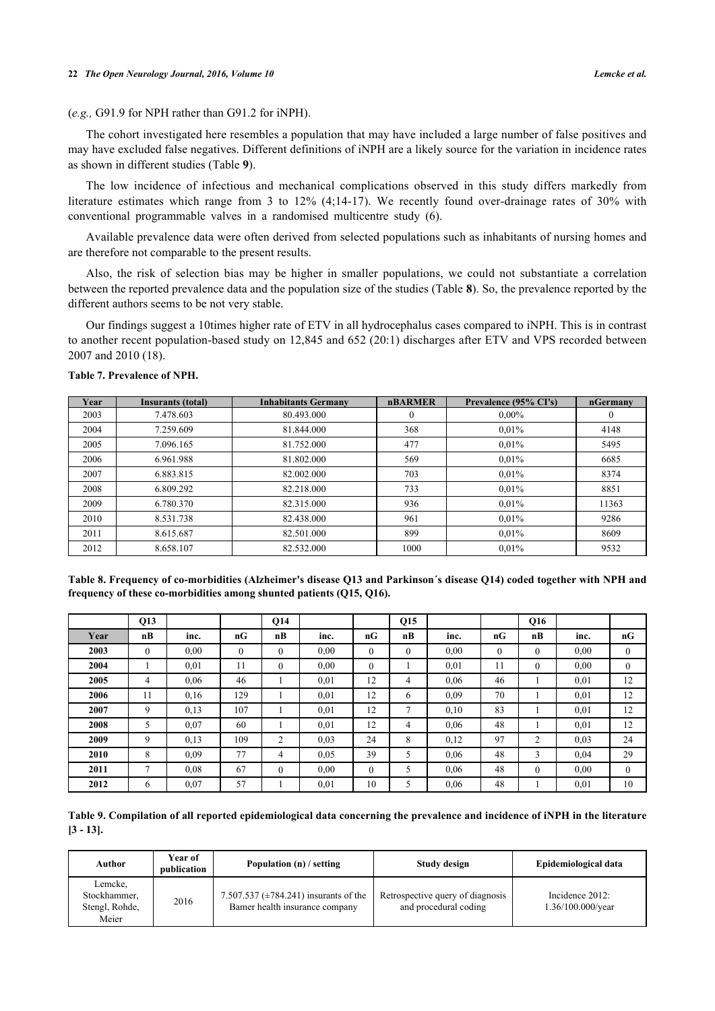## (*e.g.,* G91.9 for NPH rather than G91.2 for iNPH).

The cohort investigated here resembles a population that may have included a large number of false positives and may have excluded false negatives. Different definitions of iNPH are a likely source for the variation in incidence rates as shown in different studies (Table **[9](#page-7-2)**).

The low incidence of infectious and mechanical complications observed in this study differs markedly from literature estimates which range from 3 to 12% (4;14-17). We recently found over-drainage rates of 30% with conventional programmable valves in a randomised multicentre study (6).

Available prevalence data were often derived from selected populations such as inhabitants of nursing homes and are therefore not comparable to the present results.

Also, the risk of selection bias may be higher in smaller populations, we could not substantiate a correlation between the reported prevalence data and the population size of the studies (Table **[8](#page-7-0)**). So, the prevalence reported by the different authors seems to be not very stable.

Our findings suggest a 10times higher rate of ETV in all hydrocephalus cases compared to iNPH. This is in contrast to another recent population-based study on 12,845 and 652 (20:1) discharges after ETV and VPS recorded between 2007 and 2010 (18).

| Year | Insurants (total) | <b>Inhabitants Germany</b> | <b>nBARMER</b> | Prevalence (95% CI's) | nGermany |
|------|-------------------|----------------------------|----------------|-----------------------|----------|
| 2003 | 7.478.603         | 80.493.000                 | $\theta$       | $0.00\%$              | $\theta$ |
| 2004 | 7.259.609         | 81.844.000                 | 368            | $0.01\%$              | 4148     |
| 2005 | 7.096.165         | 81.752.000                 | 477            | 0.01%                 | 5495     |
| 2006 | 6.961.988         | 81.802.000                 | 569            | 0.01%                 | 6685     |
| 2007 | 6.883.815         | 82.002.000                 | 703            | 0.01%                 | 8374     |
| 2008 | 6.809.292         | 82.218.000                 | 733            | 0.01%                 | 8851     |
| 2009 | 6.780.370         | 82.315.000                 | 936            | 0.01%                 | 11363    |
| 2010 | 8.531.738         | 82.438.000                 | 961            | $0.01\%$              | 9286     |
| 2011 | 8.615.687         | 82.501.000                 | 899            | 0.01%                 | 8609     |
| 2012 | 8.658.107         | 82.532.000                 | 1000           | 0.01%                 | 9532     |

## <span id="page-7-1"></span>**Table 7. Prevalence of NPH.**

<span id="page-7-0"></span>**Table 8. Frequency of co-morbidities (Alzheimer's disease Q13 and Parkinson´s disease Q14) coded together with NPH and frequency of these co-morbidities among shunted patients (Q15, Q16).**

|      | Q13            |      |              | Q14          |      |              | Q15            |      |          | Q16            |      |              |
|------|----------------|------|--------------|--------------|------|--------------|----------------|------|----------|----------------|------|--------------|
| Year | nB             | inc. | nG           | nB           | inc. | nG           | nB             | inc. | nG       | nB             | inc. | nG           |
| 2003 | $\overline{0}$ | 0.00 | $\mathbf{0}$ | $\mathbf{0}$ | 0.00 | $\mathbf{0}$ | $\overline{0}$ | 0.00 | $\theta$ | $\mathbf{0}$   | 0.00 | $\mathbf{0}$ |
| 2004 |                | 0,01 | 11           | $\mathbf{0}$ | 0.00 | $\mathbf{0}$ |                | 0.01 | 11       | $\mathbf{0}$   | 0.00 | $\theta$     |
| 2005 | 4              | 0,06 | 46           |              | 0,01 | 12           | 4              | 0,06 | 46       |                | 0.01 | 12           |
| 2006 | 11             | 0,16 | 129          |              | 0,01 | 12           | 6              | 0,09 | 70       |                | 0.01 | 12           |
| 2007 | 9              | 0.13 | 107          |              | 0,01 | 12           | 7              | 0,10 | 83       |                | 0.01 | 12           |
| 2008 | 5              | 0.07 | 60           |              | 0,01 | 12           | 4              | 0,06 | 48       |                | 0.01 | 12           |
| 2009 | 9              | 0,13 | 109          | 2            | 0.03 | 24           | 8              | 0,12 | 97       | $\overline{2}$ | 0.03 | 24           |
| 2010 | 8              | 0.09 | 77           | 4            | 0.05 | 39           | 5              | 0,06 | 48       | 3              | 0.04 | 29           |
| 2011 | $\overline{7}$ | 0.08 | 67           | $\theta$     | 0.00 | $\mathbf{0}$ | 5              | 0,06 | 48       | $\mathbf{0}$   | 0.00 | $\theta$     |
| 2012 | 6              | 0.07 | 57           |              | 0.01 | 10           |                | 0,06 | 48       |                | 0.01 | 10           |

<span id="page-7-2"></span>

| Table 9. Compilation of all reported epidemiological data concerning the prevalence and incidence of iNPH in the literature |  |
|-----------------------------------------------------------------------------------------------------------------------------|--|
| $[3 - 13]$ .                                                                                                                |  |

| Author                                             | Year of<br>publication | Population (n) / setting                                                      | Study design                                              | Epidemiological data                    |
|----------------------------------------------------|------------------------|-------------------------------------------------------------------------------|-----------------------------------------------------------|-----------------------------------------|
| Lemcke.<br>Stockhammer.<br>Stengl, Rohde,<br>Meier | 2016                   | 7.507.537 ( $\pm$ 784.241) insurants of the<br>Bamer health insurance company | Retrospective query of diagnosis<br>and procedural coding | Incidence $2012$ :<br>1.36/100.000/year |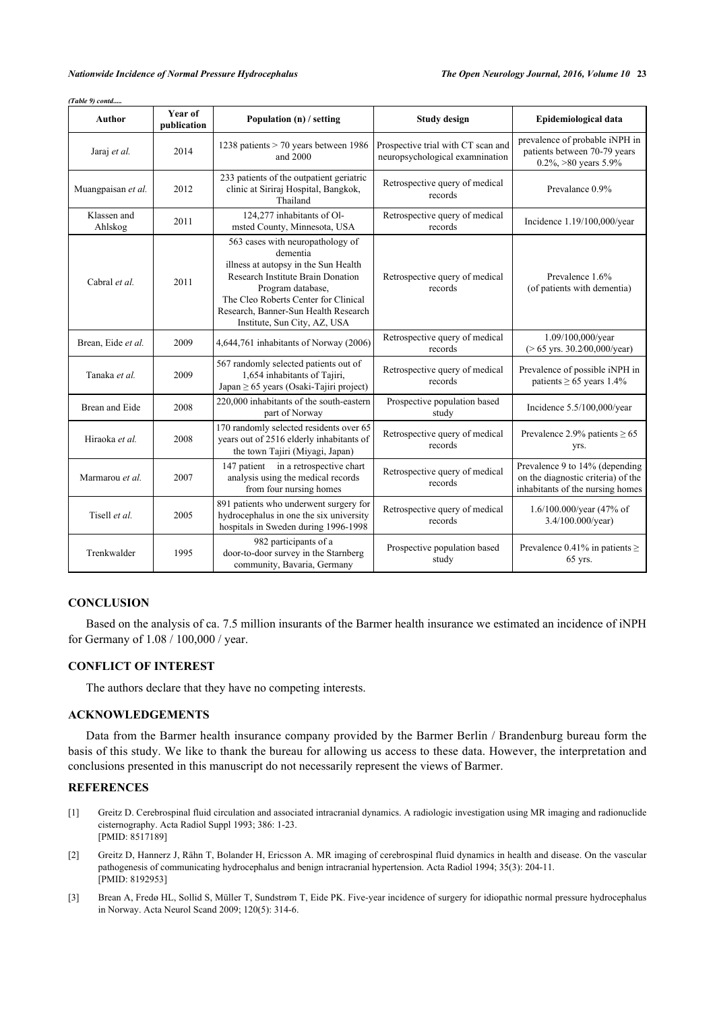| <b>Author</b>          | Year of<br>publication | Population (n) / setting                                                                                                                                                                                                                                       | <b>Study design</b>                                                   | Epidemiological data                                                                                     |
|------------------------|------------------------|----------------------------------------------------------------------------------------------------------------------------------------------------------------------------------------------------------------------------------------------------------------|-----------------------------------------------------------------------|----------------------------------------------------------------------------------------------------------|
| Jaraj et al.           | 2014                   | 1238 patients $>$ 70 years between 1986<br>and 2000                                                                                                                                                                                                            | Prospective trial with CT scan and<br>neuropsychological examnination | prevalence of probable iNPH in<br>patients between 70-79 years<br>$0.2\%$ , $>80$ years 5.9%             |
| Muangpaisan et al.     | 2012                   | 233 patients of the outpatient geriatric<br>clinic at Siriraj Hospital, Bangkok,<br>Thailand                                                                                                                                                                   | Retrospective query of medical<br>records                             | Prevalance 0.9%                                                                                          |
| Klassen and<br>Ahlskog | 2011                   | 124,277 inhabitants of Ol-<br>msted County, Minnesota, USA                                                                                                                                                                                                     | Retrospective query of medical<br>records                             | Incidence 1.19/100,000/year                                                                              |
| Cabral et al.          | 2011                   | 563 cases with neuropathology of<br>dementia<br>illness at autopsy in the Sun Health<br>Research Institute Brain Donation<br>Program database,<br>The Cleo Roberts Center for Clinical<br>Research, Banner-Sun Health Research<br>Institute, Sun City, AZ, USA | Retrospective query of medical<br>records                             | Prevalence 1.6%<br>(of patients with dementia)                                                           |
| Brean, Eide et al.     | 2009                   | 4,644,761 inhabitants of Norway (2006)                                                                                                                                                                                                                         | Retrospective query of medical<br>records                             | 1.09/100,000/year<br>$($ > 65 yrs. 30.2 $/00,000$ /year)                                                 |
| Tanaka et al.          | 2009                   | 567 randomly selected patients out of<br>1,654 inhabitants of Tajiri,<br>Japan $\geq 65$ years (Osaki-Tajiri project)                                                                                                                                          | Retrospective query of medical<br>records                             | Prevalence of possible iNPH in<br>patients $\geq 65$ years 1.4%                                          |
| Brean and Eide         | 2008                   | 220,000 inhabitants of the south-eastern<br>part of Norway                                                                                                                                                                                                     | Prospective population based<br>study                                 | Incidence 5.5/100,000/year                                                                               |
| Hiraoka et al.         | 2008                   | 170 randomly selected residents over 65<br>years out of 2516 elderly inhabitants of<br>the town Tajiri (Miyagi, Japan)                                                                                                                                         | Retrospective query of medical<br>records                             | Prevalence 2.9% patients $\geq$ 65<br>yrs.                                                               |
| Marmarou et al.        | 2007                   | 147 patient in a retrospective chart<br>analysis using the medical records<br>from four nursing homes                                                                                                                                                          | Retrospective query of medical<br>records                             | Prevalence 9 to 14% (depending<br>on the diagnostic criteria) of the<br>inhabitants of the nursing homes |
| Tisell et al.          | 2005                   | 891 patients who underwent surgery for<br>hydrocephalus in one the six university<br>hospitals in Sweden during 1996-1998                                                                                                                                      | Retrospective query of medical<br>records                             | 1.6/100.000/year (47% of<br>3.4/100.000/year)                                                            |
| Trenkwalder            | 1995                   | 982 participants of a<br>door-to-door survey in the Starnberg<br>community, Bavaria, Germany                                                                                                                                                                   | Prospective population based<br>study                                 | Prevalence 0.41% in patients $\geq$<br>65 yrs.                                                           |

*(Table 9) contd.....*

## **CONCLUSION**

Based on the analysis of ca. 7.5 million insurants of the Barmer health insurance we estimated an incidence of iNPH for Germany of 1.08 / 100,000 / year.

# **CONFLICT OF INTEREST**

The authors declare that they have no competing interests.

## **ACKNOWLEDGEMENTS**

Data from the Barmer health insurance company provided by the Barmer Berlin / Brandenburg bureau form the basis of this study. We like to thank the bureau for allowing us access to these data. However, the interpretation and conclusions presented in this manuscript do not necessarily represent the views of Barmer.

# **REFERENCES**

- <span id="page-8-0"></span>[1] Greitz D. Cerebrospinal fluid circulation and associated intracranial dynamics. A radiologic investigation using MR imaging and radionuclide cisternography. Acta Radiol Suppl 1993; 386: 1-23. [PMID: [8517189\]](http://www.ncbi.nlm.nih.gov/pubmed/8517189)
- <span id="page-8-1"></span>[2] Greitz D, Hannerz J, Rähn T, Bolander H, Ericsson A. MR imaging of cerebrospinal fluid dynamics in health and disease. On the vascular pathogenesis of communicating hydrocephalus and benign intracranial hypertension. Acta Radiol 1994; 35(3): 204-11. [PMID: [8192953\]](http://www.ncbi.nlm.nih.gov/pubmed/8192953)
- <span id="page-8-2"></span>[3] Brean A, Fredø HL, Sollid S, Müller T, Sundstrøm T, Eide PK. Five-year incidence of surgery for idiopathic normal pressure hydrocephalus in Norway. Acta Neurol Scand 2009; 120(5): 314-6.